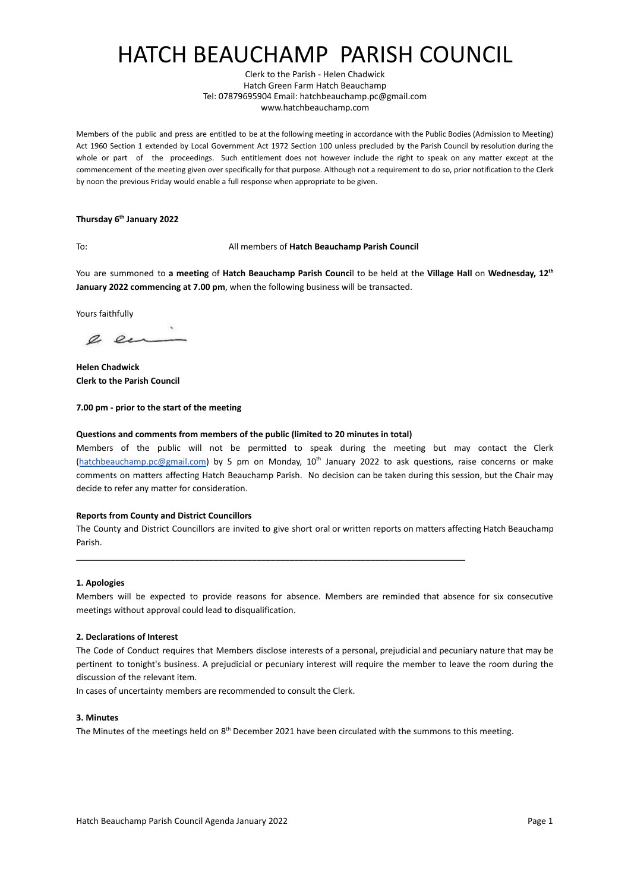# HATCH BEAUCHAMP PARISH COUNCIL

Clerk to the Parish - Helen Chadwick Hatch Green Farm Hatch Beauchamp Tel: 07879695904 Email: hatchbeauchamp.pc@gmail.com www.hatchbeauchamp.com

Members of the public and press are entitled to be at the following meeting in accordance with the Public Bodies (Admission to Meeting) Act 1960 Section 1 extended by Local Government Act 1972 Section 100 unless precluded by the Parish Council by resolution during the whole or part of the proceedings. Such entitlement does not however include the right to speak on any matter except at the commencement of the meeting given over specifically for that purpose. Although not a requirement to do so, prior notification to the Clerk by noon the previous Friday would enable a full response when appropriate to be given.

## **Thursday 6th January 2022**

## To: All members of **Hatch Beauchamp Parish Council**

You are summoned to **a meeting** of **Hatch Beauchamp Parish Counci**l to be held at [the](http://zoom.us/) **Village Hall** on **Wednesday, 12th January 2022 commencing at 7.00 pm**, when the following business will be transacted.

Yours faithfully

a en

**Helen Chadwick Clerk to the Parish Council**

**7.00 pm - prior to the start of the meeting**

## **Questions and comments from members of the public (limited to 20 minutes in total)**

Members of the public will not be permitted to speak during the meeting but may contact the Clerk ([hatchbeauchamp.pc@gmail.com\)](mailto:hatchbeauchamp.pc@gmail.com) by 5 pm on Monday, 10<sup>th</sup> January 2022 to ask questions, raise concerns or make comments on matters affecting Hatch Beauchamp Parish. No decision can be taken during this session, but the Chair may decide to refer any matter for consideration.

#### **Reports from County and District Councillors**

The County and District Councillors are invited to give short oral or written reports on matters affecting Hatch Beauchamp Parish.

\_\_\_\_\_\_\_\_\_\_\_\_\_\_\_\_\_\_\_\_\_\_\_\_\_\_\_\_\_\_\_\_\_\_\_\_\_\_\_\_\_\_\_\_\_\_\_\_\_\_\_\_\_\_\_\_\_\_\_\_\_\_\_\_\_\_\_\_\_\_\_\_\_\_\_\_\_\_\_\_\_\_

#### **1. Apologies**

Members will be expected to provide reasons for absence. Members are reminded that absence for six consecutive meetings without approval could lead to disqualification.

#### **2. Declarations of Interest**

The Code of Conduct requires that Members disclose interests of a personal, prejudicial and pecuniary nature that may be pertinent to tonight's business. A prejudicial or pecuniary interest will require the member to leave the room during the discussion of the relevant item.

In cases of uncertainty members are recommended to consult the Clerk.

### **3. Minutes**

The Minutes of the meetings held on  $8<sup>th</sup>$  December 2021 have been circulated with the summons to this meeting.